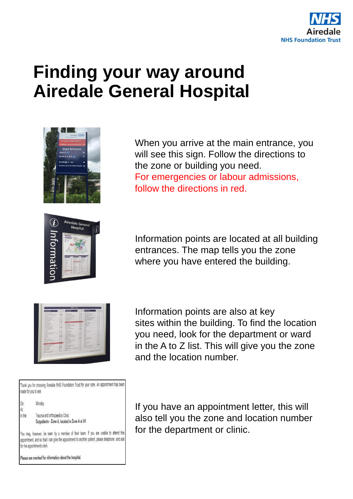

## **Finding your way around Airedale General Hospital**



When you arrive at the main entrance, you will see this sign. Follow the directions to the zone or building you need. For emergencies or labour admissions, follow the directions in red.

Information points are located at all building entrances. The map tells you the zone where you have entered the building.

| <b><i><u>DEPARTMENT</u></i></b>                                                                                      | to face.                           | <b>COFARTMENT</b>                                                                    |                        | <b>ALL DAYS AND ARRANGEMENT</b>                 | <b>Ball Barn</b>          |
|----------------------------------------------------------------------------------------------------------------------|------------------------------------|--------------------------------------------------------------------------------------|------------------------|-------------------------------------------------|---------------------------|
| and in the collection of                                                                                             | $\sim$                             | --                                                                                   | ×                      | --<br>the most change than 1                    | A Car<br>                 |
| The world is a manager of the state                                                                                  | <b>Bridge</b> 1                    | <b>School School Street</b>                                                          | $rac{1}{2}$<br>55      | the financial change (see a                     |                           |
| and the property of the control of the con-                                                                          | <b>ALCOHOL: NO</b>                 | <b>CONTRACTOR</b>                                                                    | 1/2                    | the property and department of the con-         |                           |
| also me a control and                                                                                                | . .                                | <b>Automobile Automaker Programment</b>                                              | $\sim$                 | <b>STATISTICS</b>                               | . .                       |
| Antiquities can late. And I will                                                                                     | $\sim$                             | ballist control and the<br><b>Bally American College</b>                             | $100 - 100$            | <b>SALES RESERVATIONS SERVICES</b>              |                           |
| <b>Business Statement - Committee</b>                                                                                | a con                              | <b>DESIGNATION</b> , MARTIN                                                          | $\sim$                 | paintenance been trust.                         |                           |
| popular distribution of                                                                                              | <b>SCORE</b>                       | Contractor of the                                                                    | $\sim$                 | March of Highland States States                 | $-1$                      |
| Authoritans and Automotive                                                                                           | ALC: NO                            | Phone laws                                                                           | . .                    | Salesman Att Middle                             | 4.14<br><b>START</b>      |
| <b>Selection May</b>                                                                                                 | <b>COLLECT</b>                     | <b>Printed Co.</b>                                                                   | <b>AMAX</b>            | Search Children                                 | <b>All Ser</b>            |
| and behavior-                                                                                                        | <b>SHOW:</b>                       | --                                                                                   |                        | ÷                                               | ALC: UNK                  |
| Arizon Instrument                                                                                                    | $\cdots$                           | painters and the con-                                                                | $\frac{1}{2}$          | <b>STATE OF GROOM</b>                           | <b>STAR</b>               |
| <b>Suite Calvas DK</b>                                                                                               | A Color                            | <b>CALIFORNIA</b>                                                                    | <b>Allegea</b>         | <b>Service Service</b><br><b>School College</b> | <b>STAR</b>               |
| <b>Colla Advisore Army</b>                                                                                           | $\cdots$<br>2193                   | the or the former with the first.                                                    | $\sim$                 | <b>Service Rd</b>                               | ٠                         |
| Lots bearing Child                                                                                                   |                                    | <b>Businessed could be</b>                                                           | <b>Allen R</b>         | <b>Bally College Co.</b>                        |                           |
| small of two-net health                                                                                              | <b>ALCOHOL:</b><br><b>Activity</b> | starts man.                                                                          | <b>COMPANY</b>         | -                                               | ٠                         |
| me bisinetanilate                                                                                                    | a control                          | <b>HOLIVIATE</b>                                                                     | $\sim$<br><b>ADDAR</b> | <b>SALES</b>                                    | ٠                         |
| <b>SANTO COMPOSTANCIA</b>                                                                                            | <b>STAR</b>                        | <b>BEATLE DISCUSSIONS</b>                                                            | <b>Listen</b>          | m                                               | ÷                         |
| <b>SERRETA AND MANUFACTURERS</b>                                                                                     | $-1$                               | <b>Barbara</b> Corp.                                                                 | <b>COL</b>             | <b>Select</b>                                   | ۰                         |
| <b>TOOLA RAFE</b>                                                                                                    | <b>COMPANY</b>                     | <b>Building Program</b>                                                              | $-11.44$               | -                                               | . .                       |
| <b>CONTRACTOR</b>                                                                                                    | <b>Links</b>                       | <b>British Corporate</b>                                                             | . .                    | <b>WATER STATE AND</b>                          | ٠                         |
| contacts we are now not                                                                                              | All March                          | <b>Australia</b>                                                                     | <b>TOP</b>             | -                                               |                           |
| <b>Contract Provided at Law</b>                                                                                      | <b>All out</b>                     | <b>COLORADO</b>                                                                      | <b>AMERICA</b>         | $-$                                             | $\sim$                    |
| permission work.                                                                                                     | <b>COMPANY</b>                     | <b>GENERAL MANAGERS</b>                                                              | $\sim$                 | <b>Service</b>                                  | <b>STAR</b>               |
| <b>CARL DATE: In the Career</b>                                                                                      | <b>Automotive</b>                  | <b>Daniel Amber 2017</b>                                                             | r G                    | <b>STATE</b><br>-                               | <b>SCORE</b>              |
| <b>CALLED</b>                                                                                                        | Access 17                          | <b><i><u>Address Agency Said</u></i></b><br><b>Property and Sold State</b>           | <b>TOP</b>             | <b>AGLIE</b>                                    | <b>STAR</b>               |
| <b>CONTRACTOR</b>                                                                                                    | m                                  | <b>South Contract of Contract of</b>                                                 | 5.54                   | Allen countries                                 | <b>CHE</b><br><b>STAR</b> |
| <b>SALES</b>                                                                                                         | ÷                                  |                                                                                      | <b>Andrew</b>          | MARINE PLANES                                   | <b>The Contract</b>       |
| <b>Contract Contract Contract</b>                                                                                    | <b>WILBER</b>                      | <b><i><u><i><u>AAAAAAA</u></i></u></i></b><br><b><i><u>SECRETARY COMPANY</u></i></b> | <b>A</b> 25<br>s G     | <b>BOAT CARD OF</b>                             | $\sim$                    |
| <b>GOVERNMENT</b>                                                                                                    | ÷<br>٠                             | <b>Barnett Barnetter</b> (1980)                                                      | <b>STAR</b>            | Note 1977                                       | <b>STAR</b>               |
| <b>Institution Service States</b>                                                                                    | ×<br>×                             | <b>Bandy Bulleting Corp.</b>                                                         | $-1$                   | <b>Service</b>                                  | A Mar                     |
| Las Australia                                                                                                        | ٠                                  | <b>Number of Dealer</b>                                                              | 250                    | <b>Building Country of Country</b>              | $-100$                    |
| <b>CALIFORNIA COMPANY</b>                                                                                            |                                    | <b><i><u>Auction Carry</u></i></b>                                                   | . .                    | <b>Bank &amp; Hallmark</b>                      | $-100$                    |
|                                                                                                                      | <b>Automotive</b>                  | <b>STATISTICS</b>                                                                    | <b>STAR</b>            | <b>ALCOHOL: YES</b>                             | <b>COL</b>                |
| Owner Asian & Anders States                                                                                          | 1.90                               | <b>PERSONAL PROPERTY</b>                                                             | $-20$                  | m<br>With the Windows of the Window             | <b>AMAR</b><br><b>COL</b> |
| <b><i><u>Installation</u></i></b>                                                                                    | $-1$                               | <b>Management Associates</b>                                                         | $-1$                   |                                                 | 19                        |
| <b>Charles for the Council</b>                                                                                       | <b>A</b> Ameri                     | <b>SAN PARTIES CONTINUE</b>                                                          | $-1$                   | <b>SECTION</b><br><b>COLUMN TWO</b>             |                           |
| mail \$10.000.                                                                                                       | <b>Building</b>                    | <b>Score Ave.</b>                                                                    | <b>Great Fire</b>      |                                                 |                           |
| <b>CONTRACTOR</b>                                                                                                    | $1 - 1$                            | NAME OF OCCUPANT OR OTHER                                                            | <b>COL</b>             |                                                 |                           |
|                                                                                                                      | 2.144                              | <b>State College College</b>                                                         | . .                    |                                                 |                           |
|                                                                                                                      | ÷<br>٠                             | <b>Science Avenue</b>                                                                |                        | <b>Name of Acres and Acres of Acres</b>         |                           |
|                                                                                                                      |                                    |                                                                                      |                        |                                                 |                           |
| <b><i><u>Santa Daniello</u></i></b><br><b>SHOPPER COMPANY</b><br><b>CONTRACTOR</b><br><b>State L. State Growwald</b> |                                    |                                                                                      |                        |                                                 |                           |

Information points are also at key sites within the building. To find the location you need, look for the department or ward in the A to Z list. This will give you the zone and the location number.

Thank you for choosing Airedale NHS Foundation Trust for your care. An appointment has been made for you to see

|                       | Monday                                        |
|-----------------------|-----------------------------------------------|
|                       |                                               |
| On:<br>At:<br>In the: | Trauma and orthopaedics Clinic                |
|                       | Outpatients - Zone A, located in Zone A at A1 |

You may, however, be seen by a member of their team. If you are unable to attend this appointment, and so that I can give the appointment to another patient, please telephone and ask for the appointments clerk.

Please see overleaf for information about the hospital.

If you have an appointment letter, this will also tell you the zone and location number for the department or clinic.